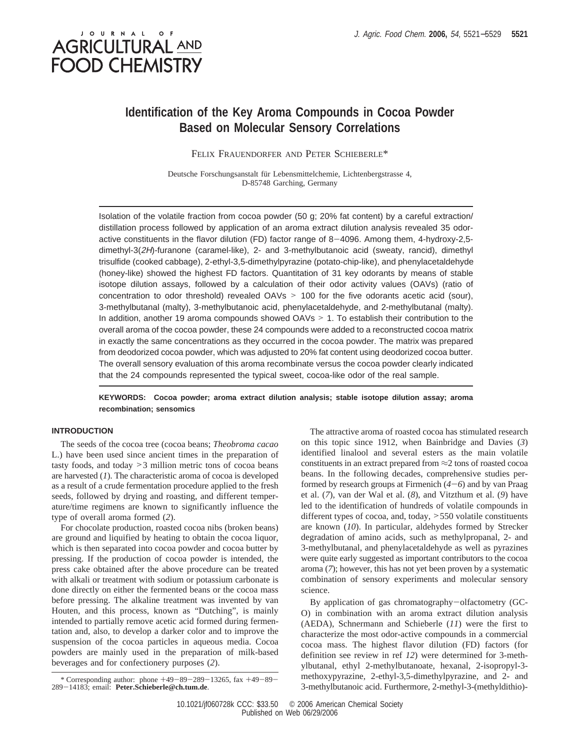# JOURNAL OF **AGRICULTURAL AND FOOD CHEMISTRY**

## **Identification of the Key Aroma Compounds in Cocoa Powder Based on Molecular Sensory Correlations**

FELIX FRAUENDORFER AND PETER SCHIEBERLE\*

Deutsche Forschungsanstalt für Lebensmittelchemie, Lichtenbergstrasse 4, D-85748 Garching, Germany

Isolation of the volatile fraction from cocoa powder (50 g; 20% fat content) by a careful extraction/ distillation process followed by application of an aroma extract dilution analysis revealed 35 odoractive constituents in the flavor dilution (FD) factor range of 8-4096. Among them, 4-hydroxy-2,5 dimethyl-3(2H)-furanone (caramel-like), 2- and 3-methylbutanoic acid (sweaty, rancid), dimethyl trisulfide (cooked cabbage), 2-ethyl-3,5-dimethylpyrazine (potato-chip-like), and phenylacetaldehyde (honey-like) showed the highest FD factors. Quantitation of 31 key odorants by means of stable isotope dilution assays, followed by a calculation of their odor activity values (OAVs) (ratio of concentration to odor threshold) revealed OAVs > 100 for the five odorants acetic acid (sour), 3-methylbutanal (malty), 3-methylbutanoic acid, phenylacetaldehyde, and 2-methylbutanal (malty). In addition, another 19 aroma compounds showed OAVs > 1. To establish their contribution to the overall aroma of the cocoa powder, these 24 compounds were added to a reconstructed cocoa matrix in exactly the same concentrations as they occurred in the cocoa powder. The matrix was prepared from deodorized cocoa powder, which was adjusted to 20% fat content using deodorized cocoa butter. The overall sensory evaluation of this aroma recombinate versus the cocoa powder clearly indicated that the 24 compounds represented the typical sweet, cocoa-like odor of the real sample.

**KEYWORDS: Cocoa powder; aroma extract dilution analysis; stable isotope dilution assay; aroma recombination; sensomics**

## **INTRODUCTION**

The seeds of the cocoa tree (cocoa beans; *Theobroma cacao* L.) have been used since ancient times in the preparation of tasty foods, and today >3 million metric tons of cocoa beans are harvested (*1*). The characteristic aroma of cocoa is developed as a result of a crude fermentation procedure applied to the fresh seeds, followed by drying and roasting, and different temperature/time regimens are known to significantly influence the type of overall aroma formed (*2*).

For chocolate production, roasted cocoa nibs (broken beans) are ground and liquified by heating to obtain the cocoa liquor, which is then separated into cocoa powder and cocoa butter by pressing. If the production of cocoa powder is intended, the press cake obtained after the above procedure can be treated with alkali or treatment with sodium or potassium carbonate is done directly on either the fermented beans or the cocoa mass before pressing. The alkaline treatment was invented by van Houten, and this process, known as "Dutching", is mainly intended to partially remove acetic acid formed during fermentation and, also, to develop a darker color and to improve the suspension of the cocoa particles in aqueous media. Cocoa powders are mainly used in the preparation of milk-based beverages and for confectionery purposes (*2*).

3-methylbutanoic acid. Furthermore, 2-methyl-3-(methyldithio)- \* Corresponding author: phone <sup>+</sup>49-89-289-13265, fax <sup>+</sup>49-89- <sup>289</sup>-14183; email: **Peter.Schieberle@ch.tum.de**.

The attractive aroma of roasted cocoa has stimulated research on this topic since 1912, when Bainbridge and Davies (*3*) identified linalool and several esters as the main volatile constituents in an extract prepared from ≈2 tons of roasted cocoa beans. In the following decades, comprehensive studies performed by research groups at Firmenich (*4*-*6*) and by van Praag et al. (*7*), van der Wal et al. (*8*), and Vitzthum et al. (*9*) have led to the identification of hundreds of volatile compounds in different types of cocoa, and, today, >550 volatile constituents are known (*10*). In particular, aldehydes formed by Strecker degradation of amino acids, such as methylpropanal, 2- and 3-methylbutanal, and phenylacetaldehyde as well as pyrazines were quite early suggested as important contributors to the cocoa aroma (*7*); however, this has not yet been proven by a systematic combination of sensory experiments and molecular sensory science.

By application of gas chromatography-olfactometry (GC-O) in combination with an aroma extract dilution analysis (AEDA), Schnermann and Schieberle (*11*) were the first to characterize the most odor-active compounds in a commercial cocoa mass. The highest flavor dilution (FD) factors (for definition see review in ref *12*) were determined for 3-methylbutanal, ethyl 2-methylbutanoate, hexanal, 2-isopropyl-3 methoxypyrazine, 2-ethyl-3,5-dimethylpyrazine, and 2- and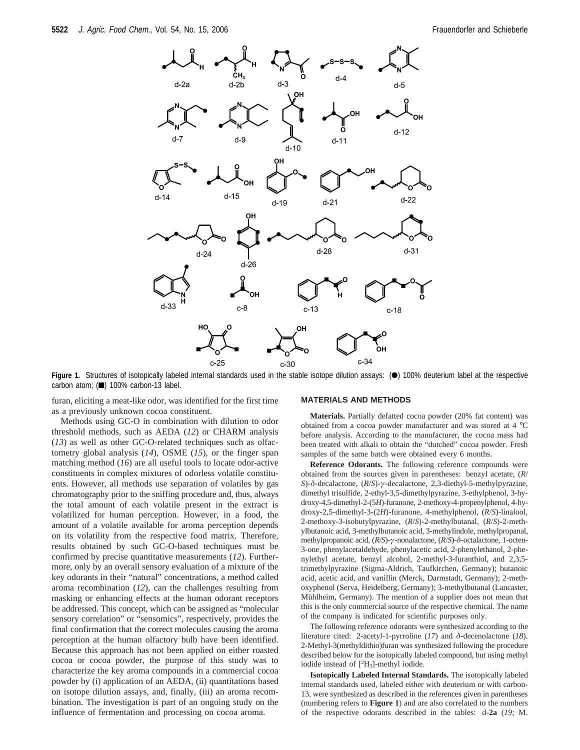

Figure 1. Structures of isotopically labeled internal standards used in the stable isotope dilution assays: (<sup>a</sup>) 100% deuterium label at the respective carbon atom; (1) 100% carbon-13 label.

furan, eliciting a meat-like odor, was identified for the first time as a previously unknown cocoa constituent.

Methods using GC-O in combination with dilution to odor threshold methods, such as AEDA (*12*) or CHARM analysis (*13*) as well as other GC-O-related techniques such as olfactometry global analysis (*14*), OSME (*15*), or the finger span matching method (*16*) are all useful tools to locate odor-active constituents in complex mixtures of odorless volatile constituents. However, all methods use separation of volatiles by gas chromatography prior to the sniffing procedure and, thus, always the total amount of each volatile present in the extract is volatilized for human perception. However, in a food, the amount of a volatile available for aroma perception depends on its volatility from the respective food matrix. Therefore, results obtained by such GC-O-based techniques must be confirmed by precise quantitative measurements (*12*). Furthermore, only by an overall sensory evaluation of a mixture of the key odorants in their "natural" concentrations, a method called aroma recombination (*12*), can the challenges resulting from masking or enhancing effects at the human odorant receptors be addressed. This concept, which can be assigned as "molecular sensory correlation" or "sensomics", respectively, provides the final confirmation that the correct molecules causing the aroma perception at the human olfactory bulb have been identified. Because this approach has not been applied on either roasted cocoa or cocoa powder, the purpose of this study was to characterize the key aroma compounds in a commercial cocoa powder by (i) application of an AEDA, (ii) quantitations based on isotope dilution assays, and, finally, (iii) an aroma recombination. The investigation is part of an ongoing study on the influence of fermentation and processing on cocoa aroma.

#### **MATERIALS AND METHODS**

**Materials.** Partially defatted cocoa powder (20% fat content) was obtained from a cocoa powder manufacturer and was stored at 4 °C before analysis. According to the manufacturer, the cocoa mass had been treated with alkali to obtain the "dutched" cocoa powder. Fresh samples of the same batch were obtained every 6 months.

**Reference Odorants.** The following reference compounds were obtained from the sources given in parentheses: benzyl acetate, (*R*/ *S*)-*δ*-decalactone, (*R*/*S*)-*γ*-decalactone, 2,3-diethyl-5-methylpyrazine, dimethyl trisulfide, 2-ethyl-3,5-dimethylpyrazine, 3-ethylphenol, 3-hydroxy-4,5-dimethyl-2-(5*H*)-furanone, 2-methoxy-4-propenylphenol, 4-hydroxy-2,5-dimethyl-3-(2*H*)-furanone, 4-methylphenol, (*R*/*S*)-linalool, 2-methoxy-3-isobutylpyrazine, (*R*/*S*)-2-methylbutanal, (*R*/*S*)-2-methylbutanoic acid, 3-methylbutanoic acid, 3-methylindole, methylpropanal, methylpropanoic acid, (*R*/*S*)-*γ*-nonalactone, (*R*/*S*)-*δ*-octalactone, 1-octen-3-one, phenylacetaldehyde, phenylacetic acid, 2-phenylethanol, 2-phenylethyl acetate, benzyl alcohol, 2-methyl-3-furanthiol, and 2,3,5 trimethylpyrazine (Sigma-Aldrich, Taufkirchen, Germany); butanoic acid, acetic acid, and vanillin (Merck, Darmstadt, Germany); 2-methoxyphenol (Serva, Heidelberg, Germany); 3-methylbutanal (Lancaster, Mühlheim, Germany). The mention of a supplier does not mean that this is the only commercial source of the respective chemical. The name of the company is indicated for scientific purposes only.

The following reference odorants were synthesized according to the literature cited: 2-acetyl-1-pyrroline (*17*) and *δ*-decenolactone (*18*). 2-Methyl-3(methyldithio)furan was synthesized following the procedure described below for the isotopically labeled compound, but using methyl iodide instead of [2 H3]-methyl iodide.

**Isotopically Labeled Internal Standards.** The isotopically labeled internal standards used, labeled either with deuterium or with carbon-13, were synthesized as described in the references given in parentheses (numbering refers to **Figure 1**) and are also correlated to the numbers of the respective odorants described in the tables: d-**2a** (*19*; M.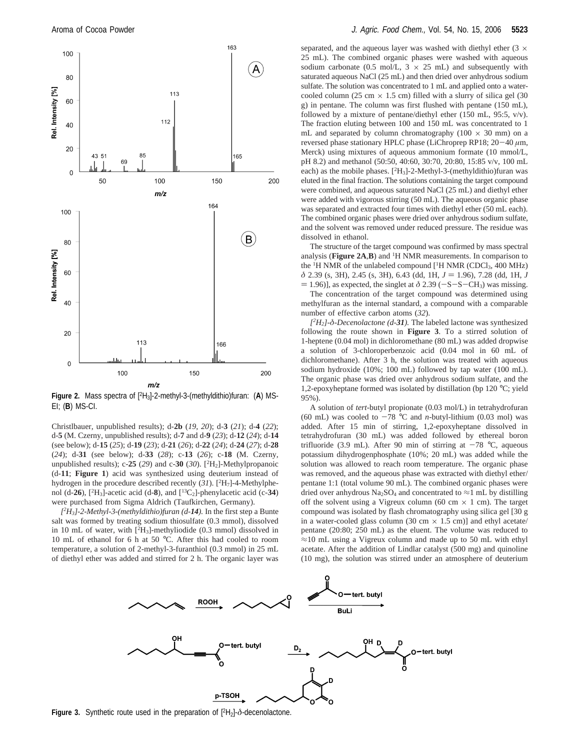

**Figure 2.** Mass spectra of [2H3]-2-methyl-3-(methyldithio)furan: (**A**) MS-EI; (**B**) MS-CI.

Christlbauer, unpublished results); d-**2b** (*19*, *20*); d-**3** (*21*); d-**4** (*22*); d-**5** (M. Czerny, unpublished results); d-**7** and d-**9** (*23*); d-**12** (*24*); d-**14** (see below); d-**15** (*25*); d-**19** (*23*); d-**21** (*26*); d-**22** (*24*); d-**24** (*27*); d-**28** (*24*); d-**31** (see below); d-**33** (*28*); c-**13** (*26*); c-**18** (M. Czerny, unpublished results); c-**25** (*29*) and c-**30** (*30*). [2H2]-Methylpropanoic (d-**11**; **Figure 1**) acid was synthesized using deuterium instead of hydrogen in the procedure described recently (31). [<sup>2</sup>H<sub>7</sub>]-4-Methylphenol (d-26),  $[^{2}H_{3}]$ -acetic acid (d-8), and  $[^{13}C_{2}]$ -phenylacetic acid (c-34) were purchased from Sigma Aldrich (Taufkirchen, Germany).

*[2 H3]-2-Methyl-3-(methyldithio)furan (d-14).* In the first step a Bunte salt was formed by treating sodium thiosulfate (0.3 mmol), dissolved in 10 mL of water, with [2H3]-methyliodide (0.3 mmol) dissolved in 10 mL of ethanol for 6 h at 50 °C. After this had cooled to room temperature, a solution of 2-methyl-3-furanthiol (0.3 mmol) in 25 mL of diethyl ether was added and stirred for 2 h. The organic layer was

separated, and the aqueous layer was washed with diethyl ether  $(3 \times$ 25 mL). The combined organic phases were washed with aqueous sodium carbonate (0.5 mol/L,  $3 \times 25$  mL) and subsequently with saturated aqueous NaCl (25 mL) and then dried over anhydrous sodium sulfate. The solution was concentrated to 1 mL and applied onto a watercooled column (25 cm  $\times$  1.5 cm) filled with a slurry of silica gel (30 g) in pentane. The column was first flushed with pentane (150 mL), followed by a mixture of pentane/diethyl ether (150 mL, 95:5, v/v). The fraction eluting between 100 and 150 mL was concentrated to 1 mL and separated by column chromatography  $(100 \times 30 \text{ mm})$  on a reversed phase stationary HPLC phase (LiChroprep RP18; 20-<sup>40</sup> *<sup>µ</sup>*m, Merck) using mixtures of aqueous ammonium formate (10 mmol/L, pH 8.2) and methanol (50:50, 40:60, 30:70, 20:80, 15:85 v/v, 100 mL each) as the mobile phases.  $[^{2}H_{3}]$ -2-Methyl-3-(methyldithio)furan was eluted in the final fraction. The solutions containing the target compound were combined, and aqueous saturated NaCl (25 mL) and diethyl ether were added with vigorous stirring (50 mL). The aqueous organic phase was separated and extracted four times with diethyl ether (50 mL each). The combined organic phases were dried over anhydrous sodium sulfate, and the solvent was removed under reduced pressure. The residue was dissolved in ethanol.

The structure of the target compound was confirmed by mass spectral analysis (**Figure 2A**,**B**) and 1H NMR measurements. In comparison to the <sup>1</sup>H NMR of the unlabeled compound [<sup>1</sup>H NMR (CDCl<sub>3</sub>, 400 MHz) *<sup>δ</sup>* 2.39 (s, 3H), 2.45 (s, 3H), 6.43 (dd, 1H, *<sup>J</sup>* ) 1.96), 7.28 (dd, 1H, *<sup>J</sup>*  $= 1.96$ ], as expected, the singlet at  $\delta$  2.39 ( $-S-CH_3$ ) was missing.

The concentration of the target compound was determined using methylfuran as the internal standard, a compound with a comparable number of effective carbon atoms (*32*).

*[2 H2]-δ-Decenolactone (d-31).* The labeled lactone was synthesized following the route shown in **Figure 3**. To a stirred solution of 1-heptene (0.04 mol) in dichloromethane (80 mL) was added dropwise a solution of 3-chloroperbenzoic acid (0.04 mol in 60 mL of dichloromethane). After 3 h, the solution was treated with aqueous sodium hydroxide (10%; 100 mL) followed by tap water (100 mL). The organic phase was dried over anhydrous sodium sulfate, and the 1,2-epoxyheptane formed was isolated by distillation (bp 120 °C; yield 95%).

A solution of *tert*-butyl propionate (0.03 mol/L) in tetrahydrofuran (60 mL) was cooled to  $-78$  °C and *n*-butyl-lithium (0.03 mol) was added. After 15 min of stirring, 1,2-epoxyheptane dissolved in tetrahydrofuran (30 mL) was added followed by ethereal boron trifluoride (3.9 mL). After 90 min of stirring at  $-78$  °C, aqueous potassium dihydrogenphosphate (10%; 20 mL) was added while the solution was allowed to reach room temperature. The organic phase was removed, and the aqueous phase was extracted with diethyl ether/ pentane 1:1 (total volume 90 mL). The combined organic phases were dried over anhydrous Na<sub>2</sub>SO<sub>4</sub> and concentrated to  $\approx$ 1 mL by distilling off the solvent using a Vigreux column (60 cm  $\times$  1 cm). The target compound was isolated by flash chromatography using silica gel [30 g in a water-cooled glass column (30 cm  $\times$  1.5 cm)] and ethyl acetate/ pentane (20:80; 250 mL) as the eluent. The volume was reduced to  $\approx$ 10 mL using a Vigreux column and made up to 50 mL with ethyl acetate. After the addition of Lindlar catalyst (500 mg) and quinoline (10 mg), the solution was stirred under an atmosphere of deuterium



**Figure 3.** Synthetic route used in the preparation of  $[{}^{2}H_{2}]$ -δ-decenolactone.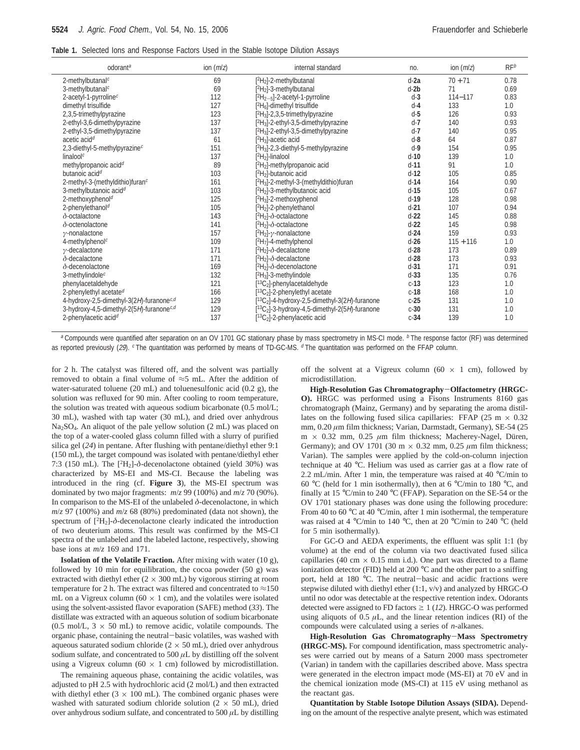| odorant <sup>a</sup>                                 | ion $(m/z)$ | internal standard                                    | no.    | ion $(m/z)$ | $RF^b$ |
|------------------------------------------------------|-------------|------------------------------------------------------|--------|-------------|--------|
| 2-methylbutanal <sup>c</sup>                         | 69          | $[^2H_2]$ -2-methylbutanal                           | $d-2a$ | $70 + 71$   | 0.78   |
| 3-methylbutanal <sup>c</sup>                         | 69          | $[^2H_2]$ -3-methylbutanal                           | $d-2b$ | 71          | 0.69   |
| 2-acetyl-1-pyrroline <sup>c</sup>                    | 112         | $[^2H_{2-5}]$ -2-acetyl-1-pyrroline                  | $d-3$  | $114 - 117$ | 0.83   |
| dimethyl trisulfide                                  | 127         | $[{}^{2}H_{6}]$ -dimethyl trisulfide                 | $d-4$  | 133         | 1.0    |
| 2,3,5-trimethylpyrazine                              | 123         | $[{}^{2}H_{3}]$ -2,3,5-trimethylpyrazine             | $d-5$  | 126         | 0.93   |
| 2-ethyl-3,6-dimethylpyrazine                         | 137         | $[{}^{2}H_{3}]$ -2-ethyl-3,5-dimethylpyrazine        | $d-7$  | 140         | 0.93   |
| 2-ethyl-3,5-dimethylpyrazine                         | 137         | $[^2H_3]$ -2-ethyl-3,5-dimethylpyrazine              | $d-7$  | 140         | 0.95   |
| acetic acid <sup>d</sup>                             | 61          | $[^2H_3]$ -acetic acid                               | $d-8$  | 64          | 0.87   |
| 2,3-diethyl-5-methylpyrazine <sup>c</sup>            | 151         | $[^2H_3]$ -2,3-diethyl-5-methylpyrazine              | $d-9$  | 154         | 0.95   |
| linalool <sup>c</sup>                                | 137         | $[^2H_2]$ -linalool                                  | $d-10$ | 139         | 1.0    |
| methylpropanoic acidd                                | 89          | [ <sup>2</sup> H <sub>2</sub> ]-methylpropanoic acid | $d-11$ | 91          | 1.0    |
| butanoic acid <sup>d</sup>                           | 103         | [ <sup>2</sup> H <sub>2</sub> ]-butanoic acid        | $d-12$ | 105         | 0.85   |
| 2-methyl-3-(methyldithio)furanc                      | 161         | $[{}^{2}H_{3}]$ -2-methyl-3-(methyldithio)furan      | $d-14$ | 164         | 0.90   |
| 3-methylbutanoic acid <sup><math>d</math></sup>      | 103         | $[^2H_2]$ -3-methylbutanoic acid                     | $d-15$ | 105         | 0.67   |
| 2-methoxyphenol <sup>d</sup>                         | 125         | $[^2H_3]$ -2-methoxyphenol                           | $d-19$ | 128         | 0.98   |
| 2-phenylethanol <sup>d</sup>                         | 105         | $[^2H_2]$ -2-phenylethanol                           | $d-21$ | 107         | 0.94   |
| $\delta$ -octalactone                                | 143         | $[^{2}H_{2}]\text{-}\delta$ -octalactone             | $d-22$ | 145         | 0.88   |
| $\delta$ -octenolactone                              | 141         | $[^2H_2]\text{-}\delta$ -octalactone                 | $d-22$ | 145         | 0.98   |
| $\gamma$ -nonalactone                                | 157         | $[^2H_2]$ -y-nonalactone                             | $d-24$ | 159         | 0.93   |
| 4-methylphenol <sup>c</sup>                          | 109         | $[2H7]$ -4-methylphenol                              | $d-26$ | $115 + 116$ | 1.0    |
| $\gamma$ -decalactone                                | 171         | $[^2H_2]$ - $\delta$ -decalactone                    | $d-28$ | 173         | 0.89   |
| $\delta$ -decalactone                                | 171         | $[{}^{2}H_{2}]$ - $\delta$ -decalactone              | $d-28$ | 173         | 0.93   |
| $\delta$ -decenolactone                              | 169         | $[^{2}H_{2}]\cdot\delta$ -decenolactone              | $d-31$ | 171         | 0.91   |
| 3-methylindole <sup>c</sup>                          | 132         | $[^2H_3]$ -3-methylindole                            | $d-33$ | 135         | 0.76   |
| phenylacetaldehyde                                   | 121         | $[13C2]$ -phenylacetaldehyde                         | $c-13$ | 123         | 1.0    |
| 2-phenylethyl acetate <sup>d</sup>                   | 166         | $[^{13}C_2]$ -2-phenylethyl acetate                  | $c-18$ | 168         | 1.0    |
| 4-hydroxy-2,5-dimethyl-3(2H)-furanone <sup>c,d</sup> | 129         | $[13C2]$ -4-hydroxy-2,5-dimethyl-3(2H)-furanone      | $c-25$ | 131         | 1.0    |
| 3-hydroxy-4,5-dimethyl-2(5H)-furanone <sup>c,d</sup> | 129         | $[13C2]$ -3-hydroxy-4,5-dimethyl-2(5H)-furanone      | $c-30$ | 131         | 1.0    |
| 2-phenylacetic acid <sup><math>d</math></sup>        | 137         | $[^{13}C_2]$ -2-phenylacetic acid                    | $c-34$ | 139         | 1.0    |

a Compounds were quantified after separation on an OV 1701 GC stationary phase by mass spectrometry in MS-CI mode. b The response factor (RF) was determined as reported previously (29). <sup>c</sup> The quantitation was performed by means of TD-GC-MS. <sup>d</sup> The quantitation was performed on the FFAP column.

for 2 h. The catalyst was filtered off, and the solvent was partially removed to obtain a final volume of ≈5 mL. After the addition of water-saturated toluene (20 mL) and toluenesulfonic acid (0.2 g), the solution was refluxed for 90 min. After cooling to room temperature, the solution was treated with aqueous sodium bicarbonate (0.5 mol/L; 30 mL), washed with tap water (30 mL), and dried over anhydrous Na2SO4. An aliquot of the pale yellow solution (2 mL) was placed on the top of a water-cooled glass column filled with a slurry of purified silica gel (*24*) in pentane. After flushing with pentane/diethyl ether 9:1 (150 mL), the target compound was isolated with pentane/diethyl ether 7:3 (150 mL). The [<sup>2</sup>H<sub>2</sub>]- $\delta$ -decenolactone obtained (yield 30%) was characterized by MS-EI and MS-CI. Because the labeling was introduced in the ring (cf. **Figure 3**), the MS-EI spectrum was dominated by two major fragments:  $m/z$  99 (100%) and  $m/z$  70 (90%). In comparison to the MS-EI of the unlabeled *δ*-decenolactone, in which  $m/z$  97 (100%) and  $m/z$  68 (80%) predominated (data not shown), the spectrum of [<sup>2</sup>H<sub>2</sub>]- $\delta$ -decenolactone clearly indicated the introduction of two deuterium atoms. This result was confirmed by the MS-CI spectra of the unlabeled and the labeled lactone, respectively, showing base ions at *m*/*z* 169 and 171.

**Isolation of the Volatile Fraction.** After mixing with water (10 g), followed by 10 min for equilibration, the cocoa powder  $(50 \text{ g})$  was extracted with diethyl ether  $(2 \times 300 \text{ mL})$  by vigorous stirring at room temperature for 2 h. The extract was filtered and concentrated to  $\approx$ 150 mL on a Vigreux column (60  $\times$  1 cm), and the volatiles were isolated using the solvent-assisted flavor evaporation (SAFE) method (*33*). The distillate was extracted with an aqueous solution of sodium bicarbonate  $(0.5 \text{ mol/L}, 3 \times 50 \text{ mL})$  to remove acidic, volatile compounds. The organic phase, containing the neutral-basic volatiles, was washed with aqueous saturated sodium chloride ( $2 \times 50$  mL), dried over anhydrous sodium sulfate, and concentrated to 500  $\mu$ L by distilling off the solvent using a Vigreux column (60  $\times$  1 cm) followed by microdistillation.

The remaining aqueous phase, containing the acidic volatiles, was adjusted to pH 2.5 with hydrochloric acid (2 mol/L) and then extracted with diethyl ether ( $3 \times 100$  mL). The combined organic phases were washed with saturated sodium chloride solution  $(2 \times 50 \text{ mL})$ , dried over anhydrous sodium sulfate, and concentrated to 500 *µ*L by distilling off the solvent at a Vigreux column (60  $\times$  1 cm), followed by microdistillation.

**High-Resolution Gas Chromatography**-**Olfactometry (HRGC-O).** HRGC was performed using a Fisons Instruments 8160 gas chromatograph (Mainz, Germany) and by separating the aroma distillates on the following fused silica capillaries: FFAP (25 m  $\times$  0.32 mm, 0.20 *µ*m film thickness; Varian, Darmstadt, Germany), SE-54 (25 m × 0.32 mm, 0.25  $\mu$ m film thickness; Macherey-Nagel, Düren, Germany); and OV 1701 (30 m × 0.32 mm, 0.25 *µ*m film thickness; Varian). The samples were applied by the cold-on-column injection technique at 40 °C. Helium was used as carrier gas at a flow rate of 2.2 mL/min. After 1 min, the temperature was raised at 40 °C/min to 60 °C (held for 1 min isothermally), then at 6 °C/min to 180 °C, and finally at 15 °C/min to 240 °C (FFAP). Separation on the SE-54 or the OV 1701 stationary phases was done using the following procedure: From 40 to 60 °C at 40 °C/min, after 1 min isothermal, the temperature was raised at 4 °C/min to 140 °C, then at 20 °C/min to 240 °C (held for 5 min isothermally).

For GC-O and AEDA experiments, the effluent was split 1:1 (by volume) at the end of the column via two deactivated fused silica capillaries (40 cm  $\times$  0.15 mm i.d.). One part was directed to a flame ionization detector (FID) held at 200 °C and the other part to a sniffing port, held at 180 °C. The neutral-basic and acidic fractions were stepwise diluted with diethyl ether (1:1, v/v) and analyzed by HRGC-O until no odor was detectable at the respective retention index. Odorants detected were assigned to FD factors  $\geq 1$  (*12*). HRGC-O was performed using aliquots of  $0.5 \mu L$ , and the linear retention indices (RI) of the compounds were calculated using a series of *n*-alkanes.

**High-Resolution Gas Chromatography**-**Mass Spectrometry (HRGC-MS).** For compound identification, mass spectrometric analyses were carried out by means of a Saturn 2000 mass spectrometer (Varian) in tandem with the capillaries described above. Mass spectra were generated in the electron impact mode (MS-EI) at 70 eV and in the chemical ionization mode (MS-CI) at 115 eV using methanol as the reactant gas.

**Quantitation by Stable Isotope Dilution Assays (SIDA).** Depending on the amount of the respective analyte present, which was estimated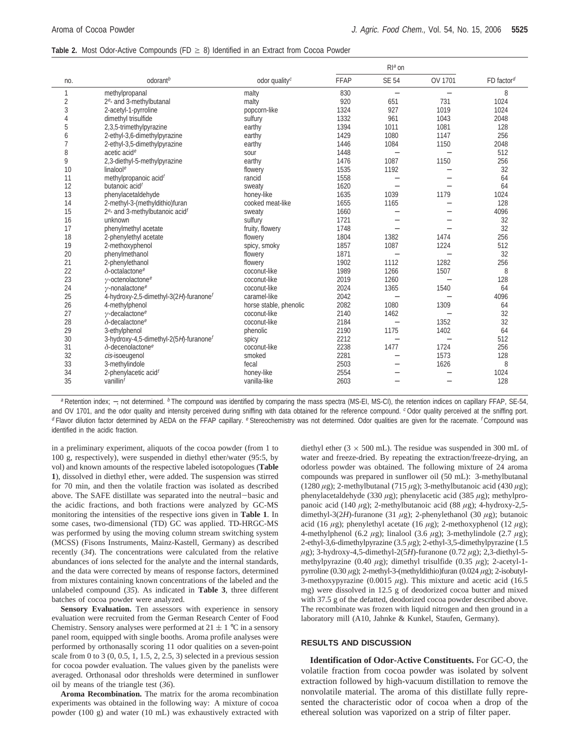#### **Table 2.** Most Odor-Active Compounds (FD  $\geq$  8) Identified in an Extract from Cocoa Powder

|                         |                                                    |                           |             | $Ra$ on                  |                                  |                          |
|-------------------------|----------------------------------------------------|---------------------------|-------------|--------------------------|----------------------------------|--------------------------|
| no.                     | odorant <sup>b</sup>                               | odor quality <sup>c</sup> | <b>FFAP</b> | <b>SE 54</b>             | OV 1701                          | $FD$ factor <sup>d</sup> |
| 1                       | methylpropanal                                     | malty                     | 830         | $\overline{\phantom{0}}$ | $\overbrace{\phantom{12322111}}$ | 8                        |
| $\overline{\mathbf{c}}$ | 2 <sup>e</sup> - and 3-methylbutanal               | malty                     | 920         | 651                      | 731                              | 1024                     |
| 3                       | 2-acetyl-1-pyrroline                               | popcorn-like              | 1324        | 927                      | 1019                             | 1024                     |
| $\overline{4}$          | dimethyl trisulfide                                | sulfury                   | 1332        | 961                      | 1043                             | 2048                     |
| 5                       | 2,3,5-trimethylpyrazine                            | earthy                    | 1394        | 1011                     | 1081                             | 128                      |
| 6                       | 2-ethyl-3,6-dimethylpyrazine                       | earthy                    | 1429        | 1080                     | 1147                             | 256                      |
| $\overline{7}$          | 2-ethyl-3,5-dimethylpyrazine                       | earthy                    | 1446        | 1084                     | 1150                             | 2048                     |
| 8                       | acetic acid <sup>e</sup>                           | sour                      | 1448        | $\equiv$                 | $\equiv$                         | 512                      |
| 9                       | 2,3-diethyl-5-methylpyrazine                       | earthy                    | 1476        | 1087                     | 1150                             | 256                      |
| 10                      | linaloole                                          | flowery                   | 1535        | 1192                     | $\overline{\phantom{0}}$         | 32                       |
| 11                      | methylpropanoic acid <sup>f</sup>                  | rancid                    | 1558        | $\overline{\phantom{0}}$ |                                  | 64                       |
| 12                      | butanoic acid <sup>f</sup>                         | sweaty                    | 1620        | $\equiv$                 |                                  | 64                       |
| 13                      | phenylacetaldehyde                                 | honey-like                | 1635        | 1039                     | 1179                             | 1024                     |
| 14                      | 2-methyl-3-(methyldithio)furan                     | cooked meat-like          | 1655        | 1165                     | $\overline{\phantom{0}}$         | 128                      |
| 15                      | $2e$ - and 3-methylbutanoic acid <sup>f</sup>      | sweaty                    | 1660        | $\overline{\phantom{0}}$ | $\equiv$                         | 4096                     |
| 16                      | unknown                                            | sulfury                   | 1721        | $\overline{\phantom{0}}$ |                                  | 32                       |
| 17                      | phenylmethyl acetate                               | fruity, flowery           | 1748        |                          |                                  | 32                       |
| 18                      | 2-phenylethyl acetate                              | flowery                   | 1804        | 1382                     | 1474                             | 256                      |
| 19                      | 2-methoxyphenol                                    | spicy, smoky              | 1857        | 1087                     | 1224                             | 512                      |
| 20                      | phenylmethanol                                     | flowery                   | 1871        | $\overline{\phantom{0}}$ | $\equiv$                         | 32                       |
| 21                      | 2-phenylethanol                                    | flowery                   | 1902        | 1112                     | 1282                             | 256                      |
| 22                      | $\delta$ -octalactone <sup>e</sup>                 | coconut-like              | 1989        | 1266                     | 1507                             | 8                        |
| 23                      | $\gamma$ -octenolactone <sup>e</sup>               | coconut-like              | 2019        | 1260                     | $\overline{\phantom{0}}$         | 128                      |
| 24                      | $\nu$ -nonalactone <sup>e</sup>                    | coconut-like              | 2024        | 1365                     | 1540                             | 64                       |
| 25                      | 4-hydroxy-2,5-dimethyl-3(2H)-furanone <sup>f</sup> | caramel-like              | 2042        | $\overline{\phantom{0}}$ |                                  | 4096                     |
| 26                      | 4-methylphenol                                     | horse stable, phenolic    | 2082        | 1080                     | 1309                             | 64                       |
| 27                      | $\gamma$ -decalactone <sup>e</sup>                 | coconut-like              | 2140        | 1462                     | $\overline{\phantom{0}}$         | 32                       |
| 28                      | $\delta$ -decalactone <sup>e</sup>                 | coconut-like              | 2184        | $\overline{\phantom{0}}$ | 1352                             | 32                       |
| 29                      | 3-ethylphenol                                      | phenolic                  | 2190        | 1175                     | 1402                             | 64                       |
| 30                      | 3-hydroxy-4,5-dimethyl-2(5H)-furanone <sup>f</sup> | spicy                     | 2212        | $\overline{\phantom{0}}$ | $\overline{\phantom{0}}$         | 512                      |
| 31                      | $\delta$ -decenolactone <sup>e</sup>               | coconut-like              | 2238        | 1477                     | 1724                             | 256                      |
| 32                      | cis-isoeugenol                                     | smoked                    | 2281        | $\overline{\phantom{0}}$ | 1573                             | 128                      |
| 33                      | 3-methylindole                                     | fecal                     | 2503        |                          | 1626                             | 8                        |
| 34                      | 2-phenylacetic acid <sup>f</sup>                   | honey-like                | 2554        | $\overline{\phantom{0}}$ | $\overline{\phantom{0}}$         | 1024                     |
| 35                      | vanillin <sup>1</sup>                              | vanilla-like              | 2603        |                          |                                  | 128                      |
|                         |                                                    |                           |             |                          |                                  |                          |

a Retention index; -, not determined. <sup>b</sup> The compound was identified by comparing the mass spectra (MS-EI, MS-CI), the retention indices on capillary FFAP, SE-54, and OV 1701, and the odor quality and intensity perceived during sniffing with data obtained for the reference compound. C Odor quality perceived at the sniffing port. <sup>d</sup> Flavor dilution factor determined by AEDA on the FFAP capillary. <sup>e</sup> Stereochemistry was not determined. Odor qualities are given for the racemate. <sup>f</sup> Compound was identified in the acidic fraction.

in a preliminary experiment, aliquots of the cocoa powder (from 1 to 100 g, respectively), were suspended in diethyl ether/water (95:5, by vol) and known amounts of the respective labeled isotopologues (**Table 1**), dissolved in diethyl ether, were added. The suspension was stirred for 70 min, and then the volatile fraction was isolated as described above. The SAFE distillate was separated into the neutral-basic and the acidic fractions, and both fractions were analyzed by GC-MS monitoring the intensities of the respective ions given in **Table 1**. In some cases, two-dimensional (TD) GC was applied. TD-HRGC-MS was performed by using the moving column stream switching system (MCSS) (Fisons Instruments, Mainz-Kastell, Germany) as described recently (*34*). The concentrations were calculated from the relative abundances of ions selected for the analyte and the internal standards, and the data were corrected by means of response factors, determined from mixtures containing known concentrations of the labeled and the unlabeled compound (*35*). As indicated in **Table 3**, three different batches of cocoa powder were analyzed.

**Sensory Evaluation.** Ten assessors with experience in sensory evaluation were recruited from the German Research Center of Food Chemistry. Sensory analyses were performed at  $21 \pm 1$  °C in a sensory panel room, equipped with single booths. Aroma profile analyses were performed by orthonasally scoring 11 odor qualities on a seven-point scale from 0 to 3  $(0, 0.5, 1, 1.5, 2, 2.5, 3)$  selected in a previous session for cocoa powder evaluation. The values given by the panelists were averaged. Orthonasal odor thresholds were determined in sunflower oil by means of the triangle test (*36*).

**Aroma Recombination.** The matrix for the aroma recombination experiments was obtained in the following way: A mixture of cocoa powder (100 g) and water (10 mL) was exhaustively extracted with

diethyl ether ( $3 \times 500$  mL). The residue was suspended in 300 mL of water and freeze-dried. By repeating the extraction/freeze-drying, an odorless powder was obtained. The following mixture of 24 aroma compounds was prepared in sunflower oil (50 mL): 3-methylbutanal (1280 *µ*g); 2-methylbutanal (715 *µ*g); 3-methylbutanoic acid (430 *µ*g); phenylacetaldehyde (330 *µ*g); phenylacetic acid (385 *µ*g); methylpropanoic acid (140 *µ*g); 2-methylbutanoic acid (88 *µ*g); 4-hydroxy-2,5 dimethyl-3(2*H*)-furanone (31 *µ*g); 2-phenylethanol (30 *µ*g); butanoic acid (16  $\mu$ g); phenylethyl acetate (16  $\mu$ g); 2-methoxyphenol (12  $\mu$ g); 4-methylphenol (6.2 *µ*g); linalool (3.6 *µ*g); 3-methylindole (2.7 *µ*g); 2-ethyl-3,6-dimethylpyrazine (3.5 *µ*g); 2-ethyl-3,5-dimethylpyrazine (1.5 *µ*g); 3-hydroxy-4,5-dimethyl-2(5*H*)-furanone (0.72 *µ*g); 2,3-diethyl-5 methylpyrazine (0.40 *µ*g); dimethyl trisulfide (0.35 *µ*g); 2-acetyl-1 pyrroline (0.30 *µ*g); 2-methyl-3-(methyldithio)furan (0.024 *µ*g); 2-isobutyl-3-methoxypyrazine (0.0015 *µ*g). This mixture and acetic acid (16.5 mg) were dissolved in 12.5 g of deodorized cocoa butter and mixed with 37.5 g of the defatted, deodorized cocoa powder described above. The recombinate was frozen with liquid nitrogen and then ground in a laboratory mill (A10, Jahnke & Kunkel, Staufen, Germany).

## **RESULTS AND DISCUSSION**

**Identification of Odor-Active Constituents.** For GC-O, the volatile fraction from cocoa powder was isolated by solvent extraction followed by high-vacuum distillation to remove the nonvolatile material. The aroma of this distillate fully represented the characteristic odor of cocoa when a drop of the ethereal solution was vaporized on a strip of filter paper.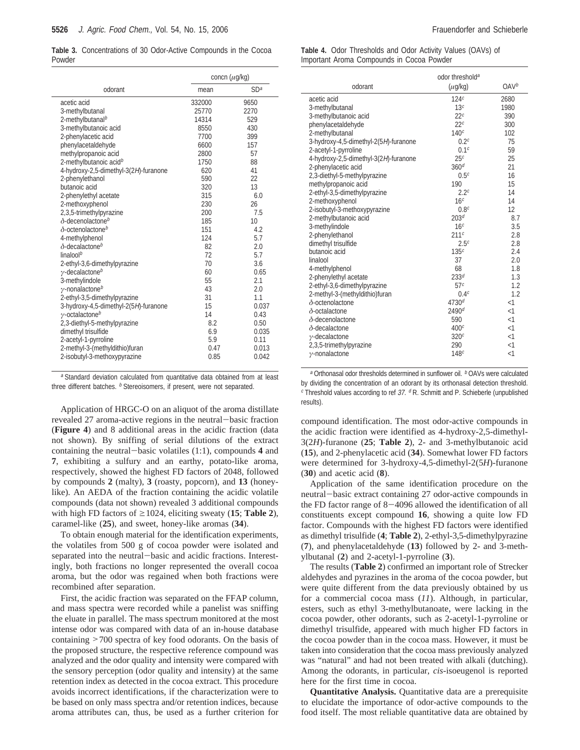**Table 3.** Concentrations of 30 Odor-Active Compounds in the Cocoa Powder

|                                       |        | concn $(\mu g/kg)$ |  |
|---------------------------------------|--------|--------------------|--|
| odorant                               | mean   | SD <sup>a</sup>    |  |
| acetic acid                           | 332000 | 9650               |  |
| 3-methylbutanal                       | 25770  | 2270               |  |
| 2-methylbutanal <sup>b</sup>          | 14314  | 529                |  |
| 3-methylbutanoic acid                 | 8550   | 430                |  |
| 2-phenylacetic acid                   | 7700   | 399                |  |
| phenylacetaldehyde                    | 6600   | 157                |  |
| methylpropanoic acid                  | 2800   | 57                 |  |
| 2-methylbutanoic acid <sup>b</sup>    | 1750   | 88                 |  |
| 4-hydroxy-2,5-dimethyl-3(2H)-furanone | 620    | 41                 |  |
| 2-phenylethanol                       | 590    | 22                 |  |
| butanoic acid                         | 320    | 13                 |  |
| 2-phenylethyl acetate                 | 315    | 6.0                |  |
| 2-methoxyphenol                       | 230    | 26                 |  |
| 2,3,5-trimethylpyrazine               | 200    | 7.5                |  |
| $\delta$ -decenolactone <sup>b</sup>  | 185    | 10                 |  |
| $\delta$ -octenolactoneb              | 151    | 4.2                |  |
| 4-methylphenol                        | 124    | 5.7                |  |
| $\delta$ -decalactone <sup>b</sup>    | 82     | 2.0                |  |
| linalool <sup>b</sup>                 | 72     | 5.7                |  |
| 2-ethyl-3,6-dimethylpyrazine          | 70     | 3.6                |  |
| $\gamma$ -decalactone <sup>b</sup>    | 60     | 0.65               |  |
| 3-methylindole                        | 55     | 2.1                |  |
| $\gamma$ -nonalactone <sup>b</sup>    | 43     | 2.0                |  |
| 2-ethyl-3,5-dimethylpyrazine          | 31     | 1.1                |  |
| 3-hydroxy-4,5-dimethyl-2(5H)-furanone | 15     | 0.037              |  |
| $\gamma$ -octalactone <sup>b</sup>    | 14     | 0.43               |  |
| 2,3-diethyl-5-methylpyrazine          | 8.2    | 0.50               |  |
| dimethyl trisulfide                   | 6.9    | 0.035              |  |
| 2-acetyl-1-pyrroline                  | 5.9    | 0.11               |  |
| 2-methyl-3-(methyldithio)furan        | 0.47   | 0.013              |  |
| 2-isobutyl-3-methoxypyrazine          | 0.85   | 0.042              |  |
|                                       |        |                    |  |

a Standard deviation calculated from quantitative data obtained from at least three different batches. **b** Stereoisomers, if present, were not separated.

Application of HRGC-O on an aliquot of the aroma distillate revealed 27 aroma-active regions in the neutral-basic fraction (**Figure 4**) and 8 additional areas in the acidic fraction (data not shown). By sniffing of serial dilutions of the extract containing the neutral-basic volatiles (1:1), compounds **<sup>4</sup>** and **7**, exhibiting a sulfury and an earthy, potato-like aroma, respectively, showed the highest FD factors of 2048, followed by compounds **2** (malty), **3** (roasty, popcorn), and **13** (honeylike). An AEDA of the fraction containing the acidic volatile compounds (data not shown) revealed 3 additional compounds with high FD factors of  $\geq$ 1024, eliciting sweaty (15; Table 2), caramel-like (**25**), and sweet, honey-like aromas (**34**).

To obtain enough material for the identification experiments, the volatiles from 500 g of cocoa powder were isolated and separated into the neutral-basic and acidic fractions. Interestingly, both fractions no longer represented the overall cocoa aroma, but the odor was regained when both fractions were recombined after separation.

First, the acidic fraction was separated on the FFAP column, and mass spectra were recorded while a panelist was sniffing the eluate in parallel. The mass spectrum monitored at the most intense odor was compared with data of an in-house database containing >700 spectra of key food odorants. On the basis of the proposed structure, the respective reference compound was analyzed and the odor quality and intensity were compared with the sensory perception (odor quality and intensity) at the same retention index as detected in the cocoa extract. This procedure avoids incorrect identifications, if the characterization were to be based on only mass spectra and/or retention indices, because aroma attributes can, thus, be used as a further criterion for

**Table 4.** Odor Thresholds and Odor Activity Values (OAVs) of Important Aroma Compounds in Cocoa Powder

|                                       | odor threshold <sup>a</sup> |                  |
|---------------------------------------|-----------------------------|------------------|
| odorant                               | $(\mu$ g/kg)                | OAV <sup>b</sup> |
| acetic acid                           | 124c                        | 2680             |
| 3-methylbutanal                       | 13 <sup>c</sup>             | 1980             |
| 3-methylbutanoic acid                 | 22 <sup>c</sup>             | 390              |
| phenylacetaldehyde                    | 22 <sup>c</sup>             | 300              |
| 2-methylbutanal                       | 140 <sup>c</sup>            | 102              |
| 3-hydroxy-4,5-dimethyl-2(5H)-furanone | 0.2 <sup>c</sup>            | 75               |
| 2-acetyl-1-pyrroline                  | 0.1c                        | 59               |
| 4-hydroxy-2,5-dimethyl-3(2H)-furanone | 25 <sup>c</sup>             | 25               |
| 2-phenylacetic acid                   | 360 <sup>d</sup>            | 21               |
| 2,3-diethyl-5-methylpyrazine          | 0.5 <sup>c</sup>            | 16               |
| methylpropanoic acid                  | 190                         | 15               |
| 2-ethyl-3,5-dimethylpyrazine          | 2.2 <sup>c</sup>            | 14               |
| 2-methoxyphenol                       | 16c                         | 14               |
| 2-isobutyl-3-methoxypyrazine          | 0.8 <sup>c</sup>            | 12               |
| 2-methylbutanoic acid                 | 203 <sup>d</sup>            | 8.7              |
| 3-methylindole                        | 16 <sup>c</sup>             | 3.5              |
| 2-phenylethanol                       | 211c                        | 2.8              |
| dimethyl trisulfide                   | 2.5 <sup>c</sup>            | 2.8              |
| butanoic acid                         | 135c                        | 2.4              |
| linalool                              | 37                          | 2.0              |
| 4-methylphenol                        | 68                          | 1.8              |
| 2-phenylethyl acetate                 | 233d                        | 1.3              |
| 2-ethyl-3,6-dimethylpyrazine          | 57c                         | 1.2              |
| 2-methyl-3-(methyldithio)furan        | 0.4 <sup>c</sup>            | 1.2              |
| $\delta$ -octenolactone               | 4730 <sup>d</sup>           | <1               |
| $\delta$ -octalactone                 | 2490 <sup>d</sup>           | $<$ 1            |
| $\delta$ -decenolactone               | 590                         | <1               |
| $\delta$ -decalactone                 | 400c                        | <1               |
| $\gamma$ -decalactone                 | 320c                        | <1               |
| 2,3,5-trimethylpyrazine               | 290                         | <1               |
| $\gamma$ -nonalactone                 | 148 <sup>c</sup>            | $<$ 1            |

<sup>a</sup> Orthonasal odor thresholds determined in sunflower oil. <sup>b</sup> OAVs were calculated by dividing the concentration of an odorant by its orthonasal detection threshold.  $c$  Threshold values according to ref 37.  $d$  R. Schmitt and P. Schieberle (unpublished results).

compound identification. The most odor-active compounds in the acidic fraction were identified as 4-hydroxy-2,5-dimethyl-3(2*H*)-furanone (**25**; **Table 2**), 2- and 3-methylbutanoic acid (**15**), and 2-phenylacetic acid (**34**). Somewhat lower FD factors were determined for 3-hydroxy-4,5-dimethyl-2(5*H*)-furanone (**30**) and acetic acid (**8**).

Application of the same identification procedure on the neutral-basic extract containing 27 odor-active compounds in the FD factor range of 8-4096 allowed the identification of all constituents except compound **16**, showing a quite low FD factor. Compounds with the highest FD factors were identified as dimethyl trisulfide (**4**; **Table 2**), 2-ethyl-3,5-dimethylpyrazine (**7**), and phenylacetaldehyde (**13**) followed by 2- and 3-methylbutanal (**2**) and 2-acetyl-1-pyrroline (**3**).

The results (**Table 2**) confirmed an important role of Strecker aldehydes and pyrazines in the aroma of the cocoa powder, but were quite different from the data previously obtained by us for a commercial cocoa mass (*11*). Although, in particular, esters, such as ethyl 3-methylbutanoate, were lacking in the cocoa powder, other odorants, such as 2-acetyl-1-pyrroline or dimethyl trisulfide, appeared with much higher FD factors in the cocoa powder than in the cocoa mass. However, it must be taken into consideration that the cocoa mass previously analyzed was "natural" and had not been treated with alkali (dutching). Among the odorants, in particular, *cis*-isoeugenol is reported here for the first time in cocoa.

**Quantitative Analysis.** Quantitative data are a prerequisite to elucidate the importance of odor-active compounds to the food itself. The most reliable quantitative data are obtained by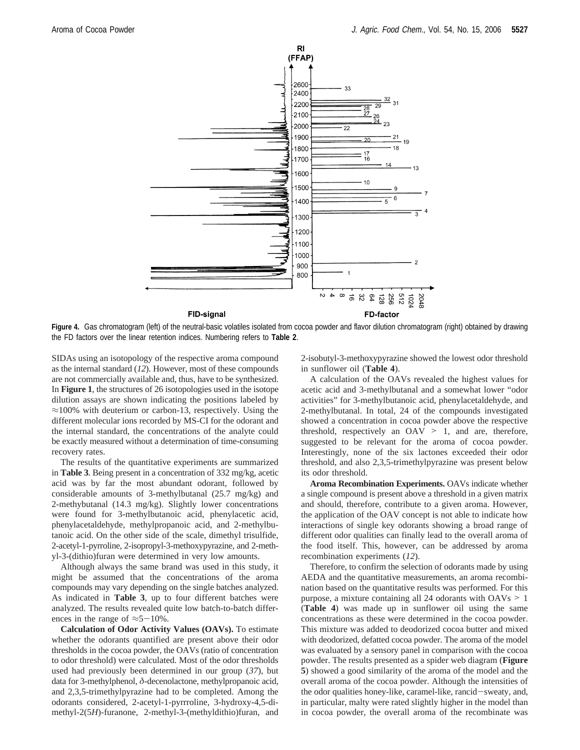

**Figure 4.** Gas chromatogram (left) of the neutral-basic volatiles isolated from cocoa powder and flavor dilution chromatogram (right) obtained by drawing the FD factors over the linear retention indices. Numbering refers to **Table 2**.

SIDAs using an isotopology of the respective aroma compound as the internal standard (*12*). However, most of these compounds are not commercially available and, thus, have to be synthesized. In **Figure 1**, the structures of 26 isotopologies used in the isotope dilution assays are shown indicating the positions labeled by  $\approx$ 100% with deuterium or carbon-13, respectively. Using the different molecular ions recorded by MS-CI for the odorant and the internal standard, the concentrations of the analyte could be exactly measured without a determination of time-consuming recovery rates.

The results of the quantitative experiments are summarized in **Table 3**. Being present in a concentration of 332 mg/kg, acetic acid was by far the most abundant odorant, followed by considerable amounts of 3-methylbutanal (25.7 mg/kg) and 2-methybutanal (14.3 mg/kg). Slightly lower concentrations were found for 3-methylbutanoic acid, phenylacetic acid, phenylacetaldehyde, methylpropanoic acid, and 2-methylbutanoic acid. On the other side of the scale, dimethyl trisulfide, 2-acetyl-1-pyrroline, 2-isopropyl-3-methoxypyrazine, and 2-methyl-3-(dithio)furan were determined in very low amounts.

Although always the same brand was used in this study, it might be assumed that the concentrations of the aroma compounds may vary depending on the single batches analyzed. As indicated in **Table 3**, up to four different batches were analyzed. The results revealed quite low batch-to-batch differences in the range of  $\approx 5-10\%$ .

**Calculation of Odor Activity Values (OAVs).** To estimate whether the odorants quantified are present above their odor thresholds in the cocoa powder, the OAVs (ratio of concentration to odor threshold) were calculated. Most of the odor thresholds used had previously been determined in our group (*37*), but data for 3-methylphenol, *δ*-decenolactone, methylpropanoic acid, and 2,3,5-trimethylpyrazine had to be completed. Among the odorants considered, 2-acetyl-1-pyrrroline, 3-hydroxy-4,5-dimethyl-2(5*H*)-furanone, 2-methyl-3-(methyldithio)furan, and

2-isobutyl-3-methoxypyrazine showed the lowest odor threshold in sunflower oil (**Table 4**).

A calculation of the OAVs revealed the highest values for acetic acid and 3-methylbutanal and a somewhat lower "odor activities" for 3-methylbutanoic acid, phenylacetaldehyde, and 2-methylbutanal. In total, 24 of the compounds investigated showed a concentration in cocoa powder above the respective threshold, respectively an  $OAV > 1$ , and are, therefore, suggested to be relevant for the aroma of cocoa powder. Interestingly, none of the six lactones exceeded their odor threshold, and also 2,3,5-trimethylpyrazine was present below its odor threshold.

**Aroma Recombination Experiments.** OAVs indicate whether a single compound is present above a threshold in a given matrix and should, therefore, contribute to a given aroma. However, the application of the OAV concept is not able to indicate how interactions of single key odorants showing a broad range of different odor qualities can finally lead to the overall aroma of the food itself. This, however, can be addressed by aroma recombination experiments (*12*).

Therefore, to confirm the selection of odorants made by using AEDA and the quantitative measurements, an aroma recombination based on the quantitative results was performed. For this purpose, a mixture containing all 24 odorants with OAVs > <sup>1</sup> (**Table 4**) was made up in sunflower oil using the same concentrations as these were determined in the cocoa powder. This mixture was added to deodorized cocoa butter and mixed with deodorized, defatted cocoa powder. The aroma of the model was evaluated by a sensory panel in comparison with the cocoa powder. The results presented as a spider web diagram (**Figure 5**) showed a good similarity of the aroma of the model and the overall aroma of the cocoa powder. Although the intensities of the odor qualities honey-like, caramel-like, rancid-sweaty, and, in particular, malty were rated slightly higher in the model than in cocoa powder, the overall aroma of the recombinate was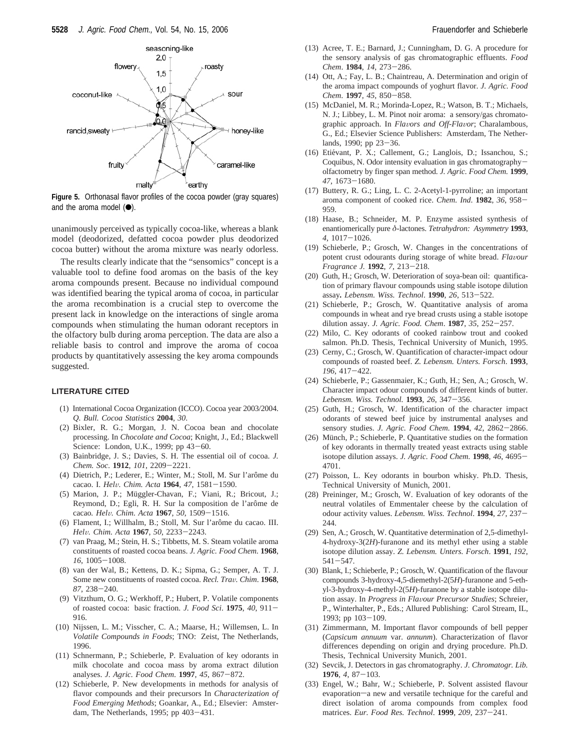

**Figure 5.** Orthonasal flavor profiles of the cocoa powder (gray squares) and the aroma model  $(•)$ .

unanimously perceived as typically cocoa-like, whereas a blank model (deodorized, defatted cocoa powder plus deodorized cocoa butter) without the aroma mixture was nearly odorless.

The results clearly indicate that the "sensomics" concept is a valuable tool to define food aromas on the basis of the key aroma compounds present. Because no individual compound was identified bearing the typical aroma of cocoa, in particular the aroma recombination is a crucial step to overcome the present lack in knowledge on the interactions of single aroma compounds when stimulating the human odorant receptors in the olfactory bulb during aroma perception. The data are also a reliable basis to control and improve the aroma of cocoa products by quantitatively assessing the key aroma compounds suggested.

#### **LITERATURE CITED**

- (1) International Cocoa Organization (ICCO). Cocoa year 2003/2004. *Q. Bull. Cocoa Statistics* **2004**, *30*.
- (2) Bixler, R. G.; Morgan, J. N. Cocoa bean and chocolate processing. In *Chocolate and Cocoa*; Knight, J., Ed.; Blackwell Science: London, U.K., 1999; pp 43-60.
- (3) Bainbridge, J. S.; Davies, S. H. The essential oil of cocoa. *J. Chem. Soc*. **<sup>1912</sup>**, *<sup>101</sup>*, 2209-2221.
- (4) Dietrich, P.; Lederer, E.; Winter, M.; Stoll, M. Sur l'arôme du cacao. I. *Hel*V*. Chim. Acta* **<sup>1964</sup>**, *<sup>47</sup>*, 1581-1590.
- (5) Marion, J. P.; Müggler-Chavan, F.; Viani, R.; Bricout, J.; Reymond, D.; Egli, R. H. Sur la composition de l'arôme de cacao*. Hel*V*. Chim. Acta* **<sup>1967</sup>**, *<sup>50</sup>*, 1509-1516.
- (6) Flament, I.; Willhalm, B.; Stoll, M. Sur l'arôme du cacao. III. *Hel*V*. Chim. Acta* **<sup>1967</sup>**, *<sup>50</sup>*, 2233-2243.
- (7) van Praag, M.; Stein, H. S.; Tibbetts, M. S. Steam volatile aroma constituents of roasted cocoa beans. *J. Agric. Food Chem.* **1968**, *<sup>16</sup>*, 1005-1008.
- (8) van der Wal, B.; Kettens, D. K.; Sipma, G.; Semper, A. T. J. Some new constituents of roasted cocoa. *Recl. Tra*V*. Chim*. **<sup>1968</sup>**, *<sup>87</sup>*, 238-240.
- (9) Vitzthum, O. G.; Werkhoff, P.; Hubert, P. Volatile components of roasted cocoa: basic fraction. *J. Food Sci*. **<sup>1975</sup>**, *<sup>40</sup>*, 911- 916.
- (10) Nijssen, L. M.; Visscher, C. A.; Maarse, H.; Willemsen, L. In *Volatile Compounds in Foods*; TNO: Zeist, The Netherlands, 1996.
- (11) Schnermann, P.; Schieberle, P. Evaluation of key odorants in milk chocolate and cocoa mass by aroma extract dilution analyses. *J. Agric. Food Chem*. **<sup>1997</sup>**, *<sup>45</sup>*, 867-872.
- (12) Schieberle, P. New developments in methods for analysis of flavor compounds and their precursors In *Characterization of Food Emerging Methods*; Goankar, A., Ed.; Elsevier: Amsterdam, The Netherlands, 1995; pp 403-431.
- (13) Acree, T. E.; Barnard, J.; Cunningham, D. G. A procedure for the sensory analysis of gas chromatographic effluents. *Food Chem*. **<sup>1984</sup>**, *<sup>14</sup>*, 273-286.
- (14) Ott, A.; Fay, L. B.; Chaintreau, A. Determination and origin of the aroma impact compounds of yoghurt flavor. *J. Agric. Food Chem*. **<sup>1997</sup>**, *<sup>45</sup>*, 850-858.
- (15) McDaniel, M. R.; Morinda-Lopez, R.; Watson, B. T.; Michaels, N. J.; Libbey, L. M. Pinot noir aroma: a sensory/gas chromatographic approach. In *Fla*V*ors and Off-Fla*V*or*; Charalambous, G., Ed.; Elsevier Science Publishers: Amsterdam, The Netherlands, 1990; pp 23-36.
- (16) Etiévant, P. X.; Callement, G.; Langlois, D.; Issanchou, S.; Coquibus, N. Odor intensity evaluation in gas chromatographyolfactometry by finger span method. *J. Agric. Food Chem.* **1999**, *<sup>47</sup>*, 1673-1680.
- (17) Buttery, R. G.; Ling, L. C. 2-Acetyl-1-pyrroline; an important aroma component of cooked rice. *Chem. Ind*. **<sup>1982</sup>**, *<sup>36</sup>*, 958- 959.
- (18) Haase, B.; Schneider, M. P. Enzyme assisted synthesis of enantiomerically pure *δ*-lactones. *Tetrahydron: Asymmetry* **1993**, *<sup>4</sup>*, 1017-1026.
- (19) Schieberle, P.; Grosch, W. Changes in the concentrations of potent crust odourants during storage of white bread. *Flavour Fragrance J.* **<sup>1992</sup>**, *<sup>7</sup>*, 213-218.
- (20) Guth, H.; Grosch, W. Deterioration of soya-bean oil: quantification of primary flavour compounds using stable isotope dilution assay*. Lebensm. Wiss. Technol*. **<sup>1990</sup>**, *<sup>26</sup>*, 513-522.
- (21) Schieberle, P.; Grosch, W. Quantitative analysis of aroma compounds in wheat and rye bread crusts using a stable isotope dilution assay. *J. Agric. Food. Chem*. **<sup>1987</sup>**, *<sup>35</sup>*, 252-257.
- (22) Milo, C. Key odorants of cooked rainbow trout and cooked salmon. Ph.D. Thesis, Technical University of Munich, 1995.
- (23) Cerny, C.; Grosch, W. Quantification of character-impact odour compounds of roasted beef. *Z. Lebensm. Unters. Forsch*. **1993**, *<sup>196</sup>*, 417-422.
- (24) Schieberle, P.; Gassenmaier, K.; Guth, H.; Sen, A.; Grosch, W. Character impact odour compounds of different kinds of butter. *Lebensm. Wiss. Technol.* **<sup>1993</sup>**, *<sup>26</sup>*, 347-356.
- (25) Guth, H.; Grosch, W. Identification of the character impact odorants of stewed beef juice by instrumental analyses and sensory studies. *J. Agric. Food Chem.* **<sup>1994</sup>**, *<sup>42</sup>*, 2862-2866.
- (26) Münch, P.; Schieberle, P. Quantitative studies on the formation of key odorants in thermally treated yeast extracts using stable isotope dilution assays. *J. Agric. Food Chem.* **<sup>1998</sup>**, *<sup>46</sup>*, 4695- 4701.
- (27) Poisson, L. Key odorants in bourbon whisky. Ph.D. Thesis, Technical University of Munich, 2001.
- (28) Preininger, M.; Grosch, W. Evaluation of key odorants of the neutral volatiles of Emmentaler cheese by the calculation of odour activity values. *Lebensm. Wiss. Technol*. **<sup>1994</sup>**, *<sup>27</sup>*, 237- 244.
- (29) Sen, A.; Grosch, W. Quantitative determination of 2,5-dimethyl-4-hydroxy-3(2*H*)-furanone and its methyl ether using a stable isotope dilution assay. *Z. Lebensm. Unters. Forsch*. **1991**, *192*, <sup>541</sup>-547.
- (30) Blank, I.; Schieberle, P.; Grosch, W. Quantification of the flavour compounds 3-hydroxy-4,5-diemethyl-2(5*H*)-furanone and 5-ethyl-3-hydroxy-4-methyl-2(5*H*)-furanone by a stable isotope dilution assay. In *Progress in Fla*V*our Precursor Studies*; Schreier, P., Winterhalter, P., Eds.; Allured Publishing: Carol Stream, IL, 1993; pp 103-109.
- (31) Zimmermann, M. Important flavor compounds of bell pepper (*Capsicum annuum* var. *annunm*). Characterization of flavor differences depending on origin and drying procedure. Ph.D. Thesis, Technical University Munich, 2001.
- (32) Sevcik, J. Detectors in gas chromatography. *J. Chromatogr. Lib.* **<sup>1976</sup>**, *<sup>4</sup>*, 87-103.
- (33) Engel, W.; Bahr, W.; Schieberle, P. Solvent assisted flavour evaporation-a new and versatile technique for the careful and direct isolation of aroma compounds from complex food matrices. *Eur. Food Res. Technol*. **<sup>1999</sup>**, *<sup>209</sup>*, 237-241.